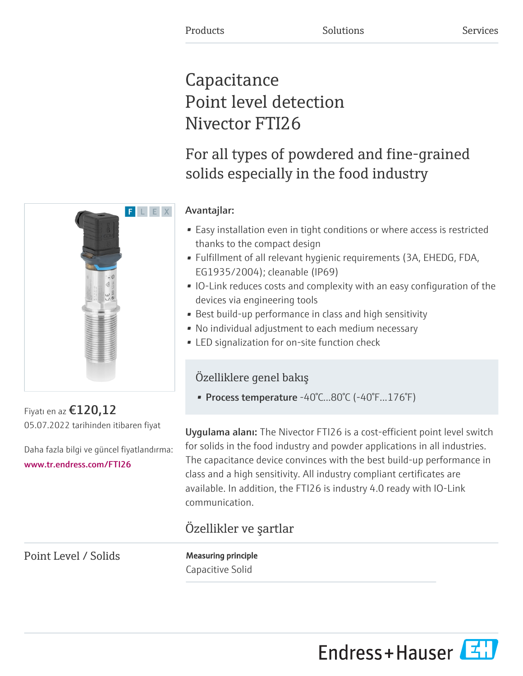# **Capacitance** Point level detection Nivector FTI26

For all types of powdered and fine-grained solids especially in the food industry



Fiyatı en az  $\epsilon$ 120,12 05.07.2022 tarihinden itibaren fiyat

Daha fazla bilgi ve güncel fiyatlandırma: [www.tr.endress.com/FTI26](https://www.tr.endress.com/FTI26)

## Avantajlar:

- Easy installation even in tight conditions or where access is restricted thanks to the compact design
- Fulfillment of all relevant hygienic requirements (3A, EHEDG, FDA, EG1935/2004); cleanable (IP69)
- IO-Link reduces costs and complexity with an easy configuration of the devices via engineering tools
- Best build-up performance in class and high sensitivity
- No individual adjustment to each medium necessary
- LED signalization for on-site function check

# Özelliklere genel bakış

• Process temperature -40°C...80°C (-40°F...176°F)

Uygulama alanı: The Nivector FTI26 is a cost-efficient point level switch for solids in the food industry and powder applications in all industries. The capacitance device convinces with the best build-up performance in class and a high sensitivity. All industry compliant certificates are available. In addition, the FTI26 is industry 4.0 ready with IO-Link communication.

# Özellikler ve şartlar

Point Level / Solids Measuring principle

Capacitive Solid

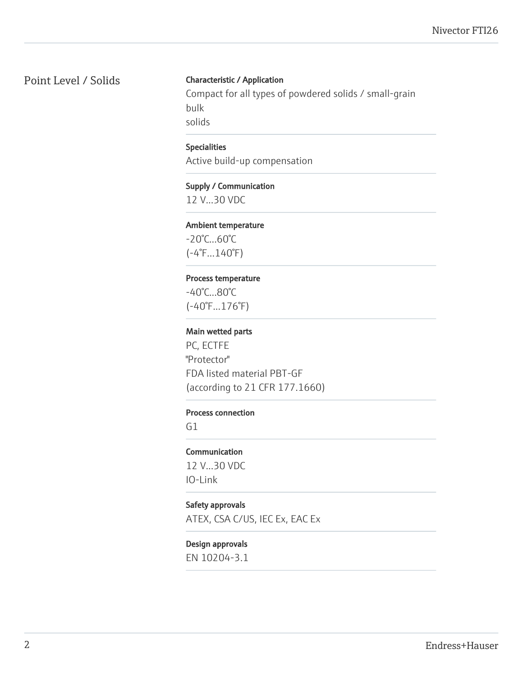### Point Level / Solids Characteristic / Application

Compact for all types of powdered solids / small-grain bulk solids

### Specialities

Active build-up compensation

#### Supply / Communication

12 V...30 VDC

#### Ambient temperature

-20°C...60°C (-4°F...140°F)

#### Process temperature

-40°C...80°C (-40°F...176°F)

#### Main wetted parts

PC, ECTFE "Protector" FDA listed material PBT-GF (according to 21 CFR 177.1660)

#### Process connection

G1

#### Communication

12 V...30 VDC IO-Link

# Safety approvals

ATEX, CSA C/US, IEC Ex, EAC Ex

#### Design approvals

EN 10204-3.1